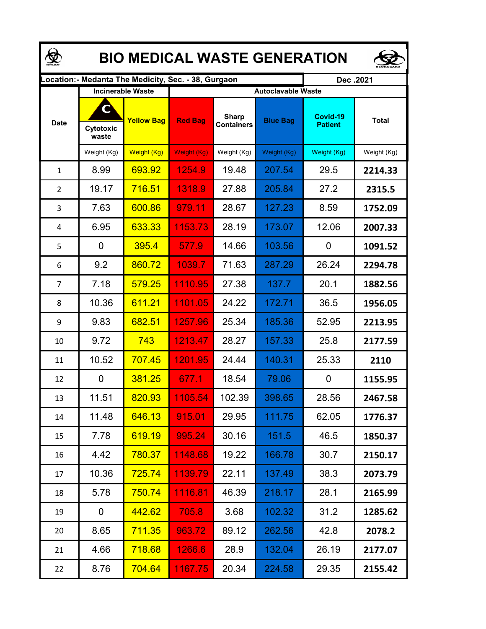| <b>BIO MEDICAL WASTE GENERATION</b> |                         |                          |                                                      |                                   |                 |                            |              |  |  |  |
|-------------------------------------|-------------------------|--------------------------|------------------------------------------------------|-----------------------------------|-----------------|----------------------------|--------------|--|--|--|
|                                     |                         |                          | Location: - Medanta The Medicity, Sec. - 38, Gurgaon |                                   |                 | Dec.2021                   |              |  |  |  |
|                                     |                         | <b>Incinerable Waste</b> | <b>Autoclavable Waste</b>                            |                                   |                 |                            |              |  |  |  |
| <b>Date</b>                         | C<br>Cytotoxic<br>waste | <b>Yellow Bag</b>        | <b>Red Bag</b>                                       | <b>Sharp</b><br><b>Containers</b> | <b>Blue Bag</b> | Covid-19<br><b>Patient</b> | <b>Total</b> |  |  |  |
|                                     | Weight (Kg)             | Weight (Kg)              | Weight (Kg)                                          | Weight (Kg)                       | Weight (Kg)     | Weight (Kg)                | Weight (Kg)  |  |  |  |
| $\mathbf{1}$                        | 8.99                    | 693.92                   | 1254.9                                               | 19.48                             | 207.54          | 29.5                       | 2214.33      |  |  |  |
| $\overline{2}$                      | 19.17                   | 716.51                   | 1318.9                                               | 27.88                             | 205.84          | 27.2                       | 2315.5       |  |  |  |
| 3                                   | 7.63                    | 600.86                   | 979.11                                               | 28.67                             | 127.23          | 8.59                       | 1752.09      |  |  |  |
| 4                                   | 6.95                    | 633.33                   | 1153.73                                              | 28.19                             | 173.07          | 12.06                      | 2007.33      |  |  |  |
| 5                                   | 0                       | 395.4                    | 577.9                                                | 14.66                             | 103.56          | 0                          | 1091.52      |  |  |  |
| 6                                   | 9.2                     | 860.72                   | 1039.7                                               | 71.63                             | 287.29          | 26.24                      | 2294.78      |  |  |  |
| $\overline{7}$                      | 7.18                    | 579.25                   | 1110.95                                              | 27.38                             | 137.7           | 20.1                       | 1882.56      |  |  |  |
| 8                                   | 10.36                   | 611.21                   | 1101.05                                              | 24.22                             | 172.71          | 36.5                       | 1956.05      |  |  |  |
| 9                                   | 9.83                    | 682.51                   | 1257.96                                              | 25.34                             | 185.36          | 52.95                      | 2213.95      |  |  |  |
| 10                                  | 9.72                    | 743                      | 1213.47                                              | 28.27                             | 157.33          | 25.8                       | 2177.59      |  |  |  |
| 11                                  | 10.52                   | 707.45                   | 1201.95                                              | 24.44                             | 140.31          | 25.33                      | 2110         |  |  |  |
| 12                                  | 0                       | 381.25                   | 677.1                                                | 18.54                             | 79.06           | 0                          | 1155.95      |  |  |  |
| 13                                  | 11.51                   | 820.93                   | 1105.54                                              | 102.39                            | 398.65          | 28.56                      | 2467.58      |  |  |  |
| 14                                  | 11.48                   | 646.13                   | 915.01                                               | 29.95                             | 111.75          | 62.05                      | 1776.37      |  |  |  |
| 15                                  | 7.78                    | 619.19                   | 995.24                                               | 30.16                             | 151.5           | 46.5                       | 1850.37      |  |  |  |
| 16                                  | 4.42                    | 780.37                   | 1148.68                                              | 19.22                             | 166.78          | 30.7                       | 2150.17      |  |  |  |
| 17                                  | 10.36                   | 725.74                   | 1139.79                                              | 22.11                             | 137.49          | 38.3                       | 2073.79      |  |  |  |
| 18                                  | 5.78                    | <u>750.74</u>            | 1116.81                                              | 46.39                             | 218.17          | 28.1                       | 2165.99      |  |  |  |
| 19                                  | 0                       | 442.62                   | 705.8                                                | 3.68                              | 102.32          | 31.2                       | 1285.62      |  |  |  |
| 20                                  | 8.65                    | 711.35                   | 963.72                                               | 89.12                             | 262.56          | 42.8                       | 2078.2       |  |  |  |
| 21                                  | 4.66                    | 718.68                   | 1266.6                                               | 28.9                              | 132.04          | 26.19                      | 2177.07      |  |  |  |
| 22                                  | 8.76                    | 704.64                   | 1167.75                                              | 20.34                             | 224.58          | 29.35                      | 2155.42      |  |  |  |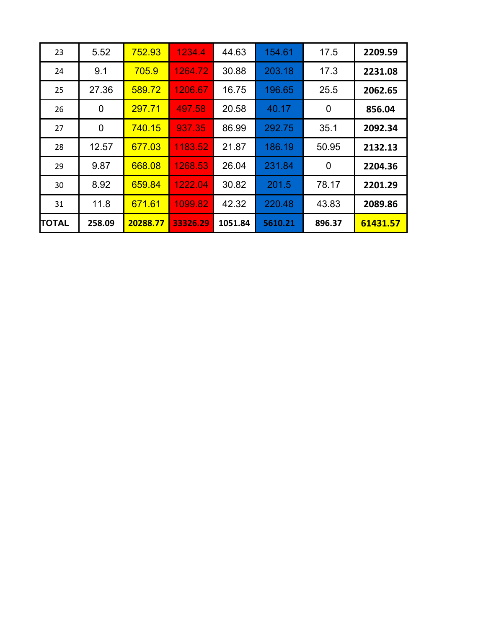| 23    | 5.52   | 752.93   | 1234.4   | 44.63   | 154.61  | 17.5   | 2209.59  |
|-------|--------|----------|----------|---------|---------|--------|----------|
| 24    | 9.1    | 705.9    | 1264.72  | 30.88   | 203.18  | 17.3   | 2231.08  |
| 25    | 27.36  | 589.72   | 1206.67  | 16.75   | 196.65  | 25.5   | 2062.65  |
| 26    | 0      | 297.71   | 497.58   | 20.58   | 40.17   | 0      | 856.04   |
| 27    | 0      | 740.15   | 937.35   | 86.99   | 292.75  | 35.1   | 2092.34  |
| 28    | 12.57  | 677.03   | 1183.52  | 21.87   | 186.19  | 50.95  | 2132.13  |
| 29    | 9.87   | 668.08   | 1268.53  | 26.04   | 231.84  | 0      | 2204.36  |
| 30    | 8.92   | 659.84   | 1222.04  | 30.82   | 201.5   | 78.17  | 2201.29  |
| 31    | 11.8   | 671.61   | 1099.82  | 42.32   | 220.48  | 43.83  | 2089.86  |
| TOTAL | 258.09 | 20288.77 | 33326.29 | 1051.84 | 5610.21 | 896.37 | 61431.57 |